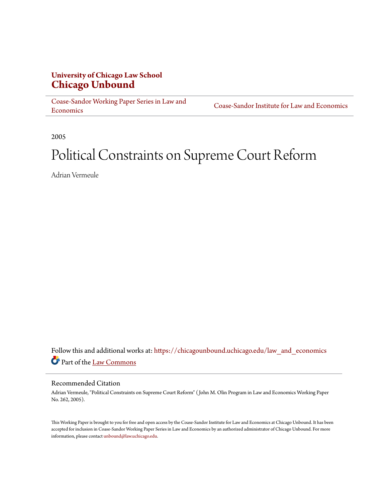### **University of Chicago Law School [Chicago Unbound](https://chicagounbound.uchicago.edu?utm_source=chicagounbound.uchicago.edu%2Flaw_and_economics%2F369&utm_medium=PDF&utm_campaign=PDFCoverPages)**

[Coase-Sandor Working Paper Series in Law and](https://chicagounbound.uchicago.edu/law_and_economics?utm_source=chicagounbound.uchicago.edu%2Flaw_and_economics%2F369&utm_medium=PDF&utm_campaign=PDFCoverPages) [Economics](https://chicagounbound.uchicago.edu/law_and_economics?utm_source=chicagounbound.uchicago.edu%2Flaw_and_economics%2F369&utm_medium=PDF&utm_campaign=PDFCoverPages)

[Coase-Sandor Institute for Law and Economics](https://chicagounbound.uchicago.edu/coase_sandor_institute?utm_source=chicagounbound.uchicago.edu%2Flaw_and_economics%2F369&utm_medium=PDF&utm_campaign=PDFCoverPages)

2005

# Political Constraints on Supreme Court Reform

Adrian Vermeule

Follow this and additional works at: [https://chicagounbound.uchicago.edu/law\\_and\\_economics](https://chicagounbound.uchicago.edu/law_and_economics?utm_source=chicagounbound.uchicago.edu%2Flaw_and_economics%2F369&utm_medium=PDF&utm_campaign=PDFCoverPages) Part of the [Law Commons](http://network.bepress.com/hgg/discipline/578?utm_source=chicagounbound.uchicago.edu%2Flaw_and_economics%2F369&utm_medium=PDF&utm_campaign=PDFCoverPages)

#### Recommended Citation

Adrian Vermeule, "Political Constraints on Supreme Court Reform" ( John M. Olin Program in Law and Economics Working Paper No. 262, 2005).

This Working Paper is brought to you for free and open access by the Coase-Sandor Institute for Law and Economics at Chicago Unbound. It has been accepted for inclusion in Coase-Sandor Working Paper Series in Law and Economics by an authorized administrator of Chicago Unbound. For more information, please contact [unbound@law.uchicago.edu.](mailto:unbound@law.uchicago.edu)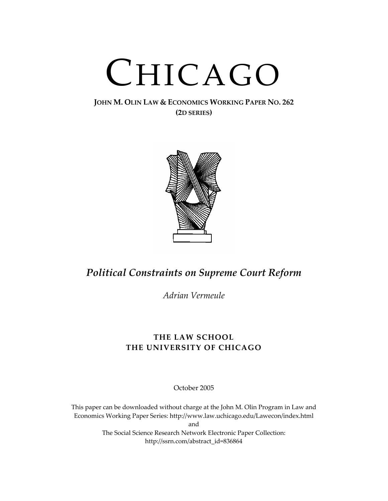# CHICAGO

#### **JOHN M. OLIN LAW & ECONOMICS WORKING PAPER NO. 262 (2D SERIES)**



# *Political Constraints on Supreme Court Reform*

*Adrian Vermeule*

## **THE LAW SCHOOL THE UNIVERSITY OF CHICAGO**

October 2005

This paper can be downloaded without charge at the John M. Olin Program in Law and Economics Working Paper Series: http://www.law.uchicago.edu/Lawecon/index.html and The Social Science Research Network Electronic Paper Collection: http://ssrn.com/abstract\_id=836864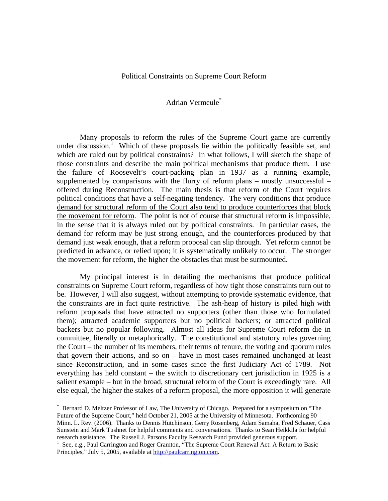#### Political Constraints on Supreme Court Reform

#### Adrian Vermeule\*

 Many proposals to reform the rules of the Supreme Court game are currently under discussion.<sup>1</sup> Which of these proposals lie within the politically feasible set, and which are ruled out by political constraints? In what follows, I will sketch the shape of those constraints and describe the main political mechanisms that produce them. I use the failure of Roosevelt's court-packing plan in 1937 as a running example, supplemented by comparisons with the flurry of reform plans – mostly unsuccessful – offered during Reconstruction. The main thesis is that reform of the Court requires political conditions that have a self-negating tendency. The very conditions that produce demand for structural reform of the Court also tend to produce counterforces that block the movement for reform. The point is not of course that structural reform is impossible, in the sense that it is always ruled out by political constraints. In particular cases, the demand for reform may be just strong enough, and the counterforces produced by that demand just weak enough, that a reform proposal can slip through. Yet reform cannot be predicted in advance, or relied upon; it is systematically unlikely to occur. The stronger the movement for reform, the higher the obstacles that must be surmounted.

 My principal interest is in detailing the mechanisms that produce political constraints on Supreme Court reform, regardless of how tight those constraints turn out to be. However, I will also suggest, without attempting to provide systematic evidence, that the constraints are in fact quite restrictive. The ash-heap of history is piled high with reform proposals that have attracted no supporters (other than those who formulated them); attracted academic supporters but no political backers; or attracted political backers but no popular following. Almost all ideas for Supreme Court reform die in committee, literally or metaphorically. The constitutional and statutory rules governing the Court – the number of its members, their terms of tenure, the voting and quorum rules that govern their actions, and so on – have in most cases remained unchanged at least since Reconstruction, and in some cases since the first Judiciary Act of 1789. Not everything has held constant – the switch to discretionary cert jurisdiction in 1925 is a salient example – but in the broad, structural reform of the Court is exceedingly rare. All else equal, the higher the stakes of a reform proposal, the more opposition it will generate

<sup>\*</sup> Bernard D. Meltzer Professor of Law, The University of Chicago. Prepared for a symposium on "The Future of the Supreme Court," held October 21, 2005 at the University of Minnesota. Forthcoming 90 Minn. L. Rev. (2006). Thanks to Dennis Hutchinson, Gerry Rosenberg, Adam Samaha, Fred Schauer, Cass Sunstein and Mark Tushnet for helpful comments and conversations. Thanks to Sean Heikkila for helpful research assistance. The Russell J. Parsons Faculty Research Fund provided generous support. 1

 $1$  See, e.g., Paul Carrington and Roger Cramton, "The Supreme Court Renewal Act: A Return to Basic Principles," July 5, 2005, available at http://paulcarrington.com.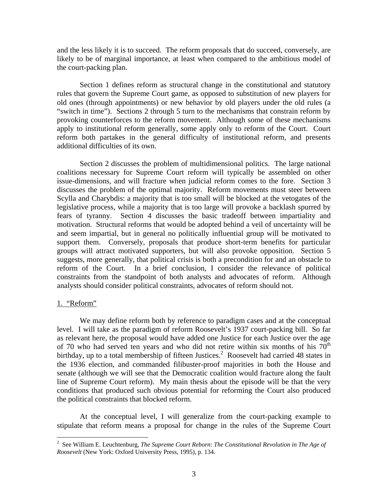and the less likely it is to succeed. The reform proposals that do succeed, conversely, are likely to be of marginal importance, at least when compared to the ambitious model of the court-packing plan.

 Section 1 defines reform as structural change in the constitutional and statutory rules that govern the Supreme Court game, as opposed to substitution of new players for old ones (through appointments) or new behavior by old players under the old rules (a "switch in time"). Sections 2 through 5 turn to the mechanisms that constrain reform by provoking counterforces to the reform movement. Although some of these mechanisms apply to institutional reform generally, some apply only to reform of the Court. Court reform both partakes in the general difficulty of institutional reform, and presents additional difficulties of its own.

 Section 2 discusses the problem of multidimensional politics. The large national coalitions necessary for Supreme Court reform will typically be assembled on other issue-dimensions, and will fracture when judicial reform comes to the fore. Section 3 discusses the problem of the optimal majority. Reform movements must steer between Scylla and Charybdis: a majority that is too small will be blocked at the vetogates of the legislative process, while a majority that is too large will provoke a backlash spurred by fears of tyranny. Section 4 discusses the basic tradeoff between impartiality and motivation. Structural reforms that would be adopted behind a veil of uncertainty will be and seem impartial, but in general no politically influential group will be motivated to support them. Conversely, proposals that produce short-term benefits for particular groups will attract motivated supporters, but will also provoke opposition. Section 5 suggests, more generally, that political crisis is both a precondition for and an obstacle to reform of the Court. In a brief conclusion, I consider the relevance of political constraints from the standpoint of both analysts and advocates of reform. Although analysts should consider political constraints, advocates of reform should not.

#### 1. "Reform"

 We may define reform both by reference to paradigm cases and at the conceptual level. I will take as the paradigm of reform Roosevelt's 1937 court-packing bill. So far as relevant here, the proposal would have added one Justice for each Justice over the age of 70 who had served ten years and who did not retire within six months of his  $70<sup>th</sup>$ birthday, up to a total membership of fifteen Justices.<sup>2</sup> Roosevelt had carried 48 states in the 1936 election, and commanded filibuster-proof majorities in both the House and senate (although we will see that the Democratic coalition would fracture along the fault line of Supreme Court reform). My main thesis about the episode will be that the very conditions that produced such obvious potential for reforming the Court also produced the political constraints that blocked reform.

 At the conceptual level, I will generalize from the court-packing example to stipulate that reform means a proposal for change in the rules of the Supreme Court

 2 See William E. Leuchtenburg, *The Supreme Court Reborn*: *The Constitutional Revolution in The Age of Roosevelt* (New York: Oxford University Press, 1995), p. 134.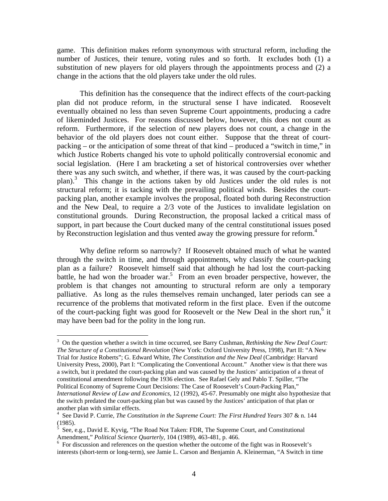game. This definition makes reform synonymous with structural reform, including the number of Justices, their tenure, voting rules and so forth. It excludes both (1) a substitution of new players for old players through the appointments process and (2) a change in the actions that the old players take under the old rules.

 This definition has the consequence that the indirect effects of the court-packing plan did not produce reform, in the structural sense I have indicated. Roosevelt eventually obtained no less than seven Supreme Court appointments, producing a cadre of likeminded Justices. For reasons discussed below, however, this does not count as reform. Furthermore, if the selection of new players does not count, a change in the behavior of the old players does not count either. Suppose that the threat of courtpacking – or the anticipation of some threat of that kind – produced a "switch in time," in which Justice Roberts changed his vote to uphold politically controversial economic and social legislation. (Here I am bracketing a set of historical controversies over whether there was any such switch, and whether, if there was, it was caused by the court-packing plan).3 This change in the actions taken by old Justices under the old rules is not structural reform; it is tacking with the prevailing political winds. Besides the courtpacking plan, another example involves the proposal, floated both during Reconstruction and the New Deal, to require a 2/3 vote of the Justices to invalidate legislation on constitutional grounds. During Reconstruction, the proposal lacked a critical mass of support, in part because the Court ducked many of the central constitutional issues posed by Reconstruction legislation and thus vented away the growing pressure for reform.<sup>4</sup>

 Why define reform so narrowly? If Roosevelt obtained much of what he wanted through the switch in time, and through appointments, why classify the court-packing plan as a failure? Roosevelt himself said that although he had lost the court-packing battle, he had won the broader war.<sup>5</sup> From an even broader perspective, however, the problem is that changes not amounting to structural reform are only a temporary palliative. As long as the rules themselves remain unchanged, later periods can see a recurrence of the problems that motivated reform in the first place. Even if the outcome of the court-packing fight was good for Roosevelt or the New Deal in the short run,<sup>6</sup> it may have been bad for the polity in the long run.

1

<sup>3</sup> On the question whether a switch in time occurred, see Barry Cushman, *Rethinking the New Deal Court: The Structure of a Constitutional Revolution* (New York: Oxford University Press, 1998), Part II: "A New Trial for Justice Roberts"; G. Edward White, *The Constitution and the New Deal* (Cambridge: Harvard University Press, 2000), Part I: "Complicating the Conventional Account." Another view is that there was a switch, but it predated the court-packing plan and was caused by the Justices' anticipation of a threat of constitutional amendment following the 1936 election. See Rafael Gely and Pablo T. Spiller, "The Political Economy of Supreme Court Decisions: The Case of Roosevelt's Court-Packing Plan," *International Review of Law and Economics,* 12 (1992), 45-67. Presumably one might also hypothesize that the switch predated the court-packing plan but was caused by the Justices' anticipation of that plan or another plan with similar effects.

<sup>4</sup> See David P. Currie, *The Constitution in the Supreme Court: The First Hundred Years* 307 & n. 144 (1985).

 $5$  See, e.g., David E. Kyvig, "The Road Not Taken: FDR, The Supreme Court, and Constitutional Amendment," *Political Science Quarterly*, 104 (1989), 463-481, p. 466.

 $6$  For discussion and references on the question whether the outcome of the fight was in Roosevelt's interests (short-term or long-term), see Jamie L. Carson and Benjamin A. Kleinerman, "A Switch in time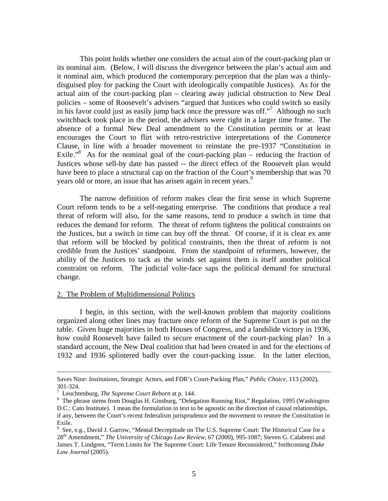This point holds whether one considers the actual aim of the court-packing plan or its nominal aim. (Below, I will discuss the divergence between the plan's actual aim and it nominal aim, which produced the contemporary perception that the plan was a thinlydisguised ploy for packing the Court with ideologically compatible Justices). As for the actual aim of the court-packing plan – clearing away judicial obstruction to New Deal policies – some of Roosevelt's advisers "argued that Justices who could switch so easily in his favor could just as easily jump back once the pressure was off."<sup>7</sup> Although no such switchback took place in the period, the advisers were right in a larger time frame. The absence of a formal New Deal amendment to the Constitution permits or at least encourages the Court to flirt with retro-restrictive interpretations of the Commerce Clause, in line with a broader movement to reinstate the pre-1937 "Constitution in Exile."<sup>8</sup> As for the nominal goal of the court-packing plan – reducing the fraction of Justices whose sell-by date has passed -- the direct effect of the Roosevelt plan would have been to place a structural cap on the fraction of the Court's membership that was 70 years old or more, an issue that has arisen again in recent years.<sup>9</sup>

 The narrow definition of reform makes clear the first sense in which Supreme Court reform tends to be a self-negating enterprise. The conditions that produce a real threat of reform will also, for the same reasons, tend to produce a switch in time that reduces the demand for reform. The threat of reform tightens the political constraints on the Justices, but a switch in time can buy off the threat. Of course, if it is clear ex ante that reform will be blocked by political constraints, then the threat of reform is not credible from the Justices' standpoint. From the standpoint of reformers, however, the ability of the Justices to tack as the winds set against them is itself another political constraint on reform. The judicial volte-face saps the political demand for structural change.

#### 2. The Problem of Multidimensional Politics

 I begin, in this section, with the well-known problem that majority coalitions organized along other lines may fracture once reform of the Supreme Court is put on the table. Given huge majorities in both Houses of Congress, and a landslide victory in 1936, how could Roosevelt have failed to secure enactment of the court-packing plan? In a standard account, the New Deal coalition that had been created in and for the elections of 1932 and 1936 splintered badly over the court-packing issue. In the latter election,

Saves Nine: Institutions, Strategic Actors, and FDR's Court-Packing Plan," *Public Choice*, 113 (2002), 301-324.

<sup>&</sup>lt;sup>7</sup> Leuchtenburg, *The Supreme Court Reborn* at p. 144.<br><sup>8</sup> The phrase stams from Douglas H. Ginsburg, "Dalag

The phrase stems from Douglas H. Ginsburg, "Delegation Running Riot," Regulation, 1995 (Washington D.C.: Cato Institute). I mean the formulation in text to be agnostic on the direction of causal relationships, if any, between the Court's recent federalism jurisprudence and the movement to restore the Constitution in Exile.

<sup>&</sup>lt;sup>9</sup> See, e.g., David J. Garrow, "Mental Decrepitude on The U.S. Supreme Court: The Historical Case for a 28th Amendment," *The University of Chicago Law Review*, 67 (2000), 995-1087; Steven G. Calabresi and James T. Lindgren, "Term Limits for The Supreme Court: Life Tenure Reconsidered," forthcoming *Duke Law Journal* (2005).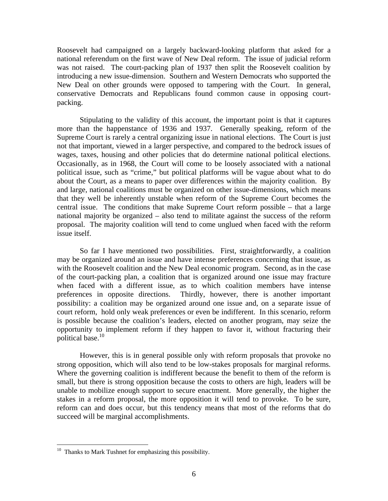Roosevelt had campaigned on a largely backward-looking platform that asked for a national referendum on the first wave of New Deal reform. The issue of judicial reform was not raised. The court-packing plan of 1937 then split the Roosevelt coalition by introducing a new issue-dimension. Southern and Western Democrats who supported the New Deal on other grounds were opposed to tampering with the Court. In general, conservative Democrats and Republicans found common cause in opposing courtpacking.

 Stipulating to the validity of this account, the important point is that it captures more than the happenstance of 1936 and 1937. Generally speaking, reform of the Supreme Court is rarely a central organizing issue in national elections. The Court is just not that important, viewed in a larger perspective, and compared to the bedrock issues of wages, taxes, housing and other policies that do determine national political elections. Occasionally, as in 1968, the Court will come to be loosely associated with a national political issue, such as "crime," but political platforms will be vague about what to do about the Court, as a means to paper over differences within the majority coalition. By and large, national coalitions must be organized on other issue-dimensions, which means that they well be inherently unstable when reform of the Supreme Court becomes the central issue. The conditions that make Supreme Court reform possible – that a large national majority be organized – also tend to militate against the success of the reform proposal. The majority coalition will tend to come unglued when faced with the reform issue itself.

 So far I have mentioned two possibilities. First, straightforwardly, a coalition may be organized around an issue and have intense preferences concerning that issue, as with the Roosevelt coalition and the New Deal economic program. Second, as in the case of the court-packing plan, a coalition that is organized around one issue may fracture when faced with a different issue, as to which coalition members have intense preferences in opposite directions. Thirdly, however, there is another important possibility: a coalition may be organized around one issue and, on a separate issue of court reform, hold only weak preferences or even be indifferent. In this scenario, reform is possible because the coalition's leaders, elected on another program, may seize the opportunity to implement reform if they happen to favor it, without fracturing their political base.10

 However, this is in general possible only with reform proposals that provoke no strong opposition, which will also tend to be low-stakes proposals for marginal reforms. Where the governing coalition is indifferent because the benefit to them of the reform is small, but there is strong opposition because the costs to others are high, leaders will be unable to mobilize enough support to secure enactment. More generally, the higher the stakes in a reform proposal, the more opposition it will tend to provoke. To be sure, reform can and does occur, but this tendency means that most of the reforms that do succeed will be marginal accomplishments.

<u>.</u>

 $10$  Thanks to Mark Tushnet for emphasizing this possibility.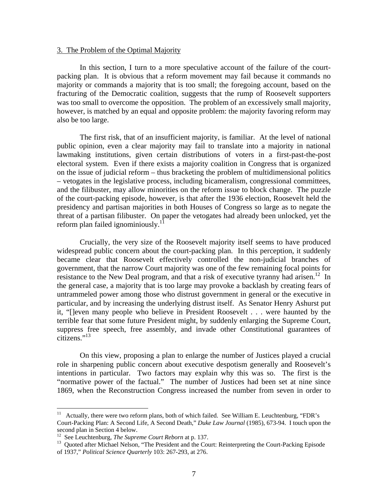#### 3. The Problem of the Optimal Majority

 In this section, I turn to a more speculative account of the failure of the courtpacking plan. It is obvious that a reform movement may fail because it commands no majority or commands a majority that is too small; the foregoing account, based on the fracturing of the Democratic coalition, suggests that the rump of Roosevelt supporters was too small to overcome the opposition. The problem of an excessively small majority, however, is matched by an equal and opposite problem: the majority favoring reform may also be too large.

 The first risk, that of an insufficient majority, is familiar. At the level of national public opinion, even a clear majority may fail to translate into a majority in national lawmaking institutions, given certain distributions of voters in a first-past-the-post electoral system. Even if there exists a majority coalition in Congress that is organized on the issue of judicial reform – thus bracketing the problem of multidimensional politics – vetogates in the legislative process, including bicameralism, congressional committees, and the filibuster, may allow minorities on the reform issue to block change. The puzzle of the court-packing episode, however, is that after the 1936 election, Roosevelt held the presidency and partisan majorities in both Houses of Congress so large as to negate the threat of a partisan filibuster. On paper the vetogates had already been unlocked, yet the reform plan failed ignominiously.<sup>1</sup>

 Crucially, the very size of the Roosevelt majority itself seems to have produced widespread public concern about the court-packing plan. In this perception, it suddenly became clear that Roosevelt effectively controlled the non-judicial branches of government, that the narrow Court majority was one of the few remaining focal points for resistance to the New Deal program, and that a risk of executive tyranny had arisen.<sup>12</sup> In the general case, a majority that is too large may provoke a backlash by creating fears of untrammeled power among those who distrust government in general or the executive in particular, and by increasing the underlying distrust itself. As Senator Henry Ashurst put it, "[]even many people who believe in President Roosevelt . . . were haunted by the terrible fear that some future President might, by suddenly enlarging the Supreme Court, suppress free speech, free assembly, and invade other Constitutional guarantees of  $citizens.$ <sup>13</sup>

 On this view, proposing a plan to enlarge the number of Justices played a crucial role in sharpening public concern about executive despotism generally and Roosevelt's intentions in particular. Two factors may explain why this was so. The first is the "normative power of the factual." The number of Justices had been set at nine since 1869, when the Reconstruction Congress increased the number from seven in order to

1

 $11$  Actually, there were two reform plans, both of which failed. See William E. Leuchtenburg, "FDR's Court-Packing Plan: A Second Life, A Second Death," *Duke Law Journal* (1985), 673-94. I touch upon the second plan in Section 4 below.<br><sup>12</sup> See Leuchtenburg, *The Supreme Court Reborn* at p. 137.

<sup>&</sup>lt;sup>13</sup> Quoted after Michael Nelson, "The President and the Court: Reinterpreting the Court-Packing Episode of 1937," *Political Science Quarterly* 103: 267-293, at 276.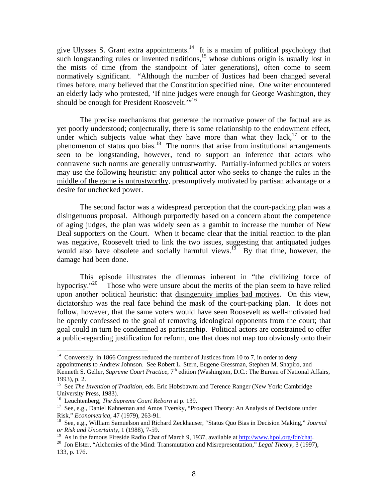give Ulysses S. Grant extra appointments.<sup>14</sup> It is a maxim of political psychology that such longstanding rules or invented traditions, $15$  whose dubious origin is usually lost in the mists of time (from the standpoint of later generations), often come to seem normatively significant. "Although the number of Justices had been changed several times before, many believed that the Constitution specified nine. One writer encountered an elderly lady who protested, 'If nine judges were enough for George Washington, they should be enough for President Roosevelt."<sup>16</sup>

 The precise mechanisms that generate the normative power of the factual are as yet poorly understood; conjecturally, there is some relationship to the endowment effect, under which subjects value what they have more than what they lack, $17$  or to the phenomenon of status quo bias.<sup>18</sup> The norms that arise from institutional arrangements seen to be longstanding, however, tend to support an inference that actors who contravene such norms are generally untrustworthy. Partially-informed publics or voters may use the following heuristic: any political actor who seeks to change the rules in the middle of the game is untrustworthy, presumptively motivated by partisan advantage or a desire for unchecked power.

 The second factor was a widespread perception that the court-packing plan was a disingenuous proposal. Although purportedly based on a concern about the competence of aging judges, the plan was widely seen as a gambit to increase the number of New Deal supporters on the Court. When it became clear that the initial reaction to the plan was negative, Roosevelt tried to link the two issues, suggesting that antiquated judges would also have obsolete and socially harmful views.<sup>19</sup> By that time, however, the damage had been done.

This episode illustrates the dilemmas inherent in "the civilizing force of hypocrisy."<sup>20</sup> Those who were unsure about the merits of the plan seem to have relied Those who were unsure about the merits of the plan seem to have relied upon another political heuristic: that disingenuity implies bad motives. On this view, dictatorship was the real face behind the mask of the court-packing plan. It does not follow, however, that the same voters would have seen Roosevelt as well-motivated had he openly confessed to the goal of removing ideological opponents from the court; that goal could in turn be condemned as partisanship. Political actors are constrained to offer a public-regarding justification for reform, one that does not map too obviously onto their

 $14$  Conversely, in 1866 Congress reduced the number of Justices from 10 to 7, in order to deny appointments to Andrew Johnson. See Robert L. Stern, Eugene Gressman, Stephen M. Shapiro, and Kenneth S. Geller, *Supreme Court Practice*, 7<sup>th</sup> edition (Washington, D.C.: The Bureau of National Affairs, 1993), p. 2.

<sup>&</sup>lt;sup>15</sup> See *The Invention of Tradition*, eds. Eric Hobsbawm and Terence Ranger (New York: Cambridge University Press, 1983).<br><sup>16</sup> Leuchtenberg, *The Supreme Court Reborn* at p. 139.

<sup>&</sup>lt;sup>17</sup> See, e.g., Daniel Kahneman and Amos Tversky, "Prospect Theory: An Analysis of Decisions under Risk," *Econometrica*, 47 (1979), 263-91.<br><sup>18</sup> See, e.g., William Samuelson and Richard Zeckhauser, "Status Quo Bias in Decision Making," *Journal* 

*or Risk and Uncertainty*, 1 (1988), 7-59.

<sup>&</sup>lt;sup>20</sup> Jon Elster, "Alchemies of the Mind: Transmutation and Misrepresentation," *Legal Theory*, 3 (1997), 133, p. 176.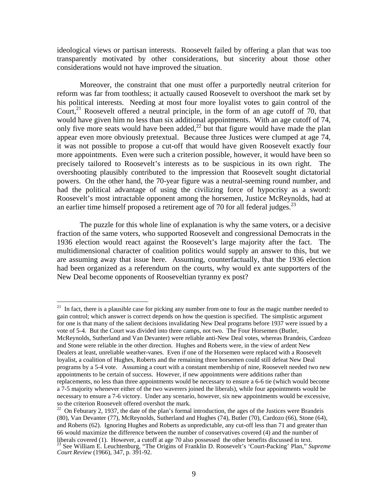ideological views or partisan interests. Roosevelt failed by offering a plan that was too transparently motivated by other considerations, but sincerity about those other considerations would not have improved the situation.

 Moreover, the constraint that one must offer a purportedly neutral criterion for reform was far from toothless; it actually caused Roosevelt to overshoot the mark set by his political interests. Needing at most four more loyalist votes to gain control of the Court, $^{21}$  Roosevelt offered a neutral principle, in the form of an age cutoff of 70, that would have given him no less than six additional appointments. With an age cutoff of 74, only five more seats would have been added,<sup>22</sup> but that figure would have made the plan appear even more obviously pretextual. Because three Justices were clumped at age 74, it was not possible to propose a cut-off that would have given Roosevelt exactly four more appointments. Even were such a criterion possible, however, it would have been so precisely tailored to Roosevelt's interests as to be suspicious in its own right. The overshooting plausibly contributed to the impression that Roosevelt sought dictatorial powers. On the other hand, the 70-year figure was a neutral-seeming round number, and had the political advantage of using the civilizing force of hypocrisy as a sword: Roosevelt's most intractable opponent among the horsemen, Justice McReynolds, had at an earlier time himself proposed a retirement age of 70 for all federal judges.<sup>23</sup>

 The puzzle for this whole line of explanation is why the same voters, or a decisive fraction of the same voters, who supported Roosevelt and congressional Democrats in the 1936 election would react against the Roosevelt's large majority after the fact. The multidimensional character of coalition politics would supply an answer to this, but we are assuming away that issue here. Assuming, counterfactually, that the 1936 election had been organized as a referendum on the courts, why would ex ante supporters of the New Deal become opponents of Rooseveltian tyranny ex post?

 $\overline{a}$ 

 $21$  In fact, there is a plausible case for picking any number from one to four as the magic number needed to gain control; which answer is correct depends on how the question is specified. The simplistic argument for one is that many of the salient decisions invalidating New Deal programs before 1937 were issued by a vote of 5-4. But the Court was divided into three camps, not two. The Four Horsemen (Butler, McReynolds, Sutherland and Van Devanter) were reliable anti-New Deal votes, whereas Brandeis, Cardozo and Stone were reliable in the other direction. Hughes and Roberts were, in the view of ardent New Dealers at least, unreliable weather-vanes. Even if one of the Horsemen were replaced with a Roosevelt loyalist, a coalition of Hughes, Roberts and the remaining three horsemen could still defeat New Deal programs by a 5-4 vote. Assuming a court with a constant membership of nine, Roosevelt needed two new appointments to be certain of success. However, if new appointments were additions rather than replacements, no less than three appointments would be necessary to ensure a 6-6 tie (which would become a 7-5 majority whenever either of the two waverers joined the liberals), while four appointments would be necessary to ensure a 7-6 victory. Under any scenario, however, six new appointments would be excessive,

 $22$  On Feburary 2, 1937, the date of the plan's formal introduction, the ages of the Justices were Brandeis (80), Van Devanter (77), McReynolds, Sutherland and Hughes (74), Butler (70), Cardozo (66), Stone (64), and Roberts (62). Ignoring Hughes and Roberts as unpredictable, any cut-off less than 71 and greater than 66 would maximize the difference between the number of conservatives covered (4) and the number of liberals covered (1). However, a cutoff at age 70 also possessed the other benefits discussed in text. 23 See William E. Leuchtenburg, "The Origins of Franklin D. Roosevelt's 'Court-Packing' Plan," *Supreme Court Review* (1966), 347, p. 391-92.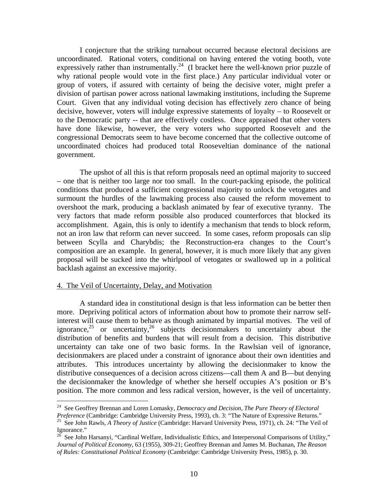I conjecture that the striking turnabout occurred because electoral decisions are uncoordinated. Rational voters, conditional on having entered the voting booth, vote expressively rather than instrumentally.<sup>24</sup> (I bracket here the well-known prior puzzle of why rational people would vote in the first place.) Any particular individual voter or group of voters, if assured with certainty of being the decisive voter, might prefer a division of partisan power across national lawmaking institutions, including the Supreme Court. Given that any individual voting decision has effectively zero chance of being decisive, however, voters will indulge expressive statements of loyalty – to Roosevelt or to the Democratic party -- that are effectively costless. Once appraised that other voters have done likewise, however, the very voters who supported Roosevelt and the congressional Democrats seem to have become concerned that the collective outcome of uncoordinated choices had produced total Rooseveltian dominance of the national government.

 The upshot of all this is that reform proposals need an optimal majority to succeed – one that is neither too large nor too small. In the court-packing episode, the political conditions that produced a sufficient congressional majority to unlock the vetogates and surmount the hurdles of the lawmaking process also caused the reform movement to overshoot the mark, producing a backlash animated by fear of executive tyranny. The very factors that made reform possible also produced counterforces that blocked its accomplishment. Again, this is only to identify a mechanism that tends to block reform, not an iron law that reform can never succeed. In some cases, reform proposals can slip between Scylla and Charybdis; the Reconstruction-era changes to the Court's composition are an example. In general, however, it is much more likely that any given proposal will be sucked into the whirlpool of vetogates or swallowed up in a political backlash against an excessive majority.

#### 4. The Veil of Uncertainty, Delay, and Motivation

<u>.</u>

 A standard idea in constitutional design is that less information can be better then more. Depriving political actors of information about how to promote their narrow selfinterest will cause them to behave as though animated by impartial motives. The veil of ignorance,  $25$  or uncertainty,  $26$  subjects decision makers to uncertainty about the distribution of benefits and burdens that will result from a decision. This distributive uncertainty can take one of two basic forms. In the Rawlsian veil of ignorance, decisionmakers are placed under a constraint of ignorance about their own identities and attributes. This introduces uncertainty by allowing the decisionmaker to know the distributive consequences of a decision across citizens—call them A and B—but denying the decisionmaker the knowledge of whether she herself occupies A's position or B's position. The more common and less radical version, however, is the veil of uncertainty.

<sup>24</sup> See Geoffrey Brennan and Loren Lomasky, *Democracy and Decision, The Pure Theory of Electoral* 

*Preference* (Cambridge: Cambridge University Press, 1993), ch. 3: "The Nature of Expressive Returns." 25 See John Rawls, *A Theory of Justice* (Cambridge: Harvard University Press, 1971), ch. 24: "The Veil of

Ignorance."  $^{26}$  See John Harsanyi, "Cardinal Welfare, Individualistic Ethics, and Interpersonal Comparisons of Utility," *Journal of Political Economy*, 63 (1955), 309-21; Geoffrey Brennan and James M. Buchanan, *The Reason of Rules: Constitutional Political Economy* (Cambridge: Cambridge University Press, 1985), p. 30.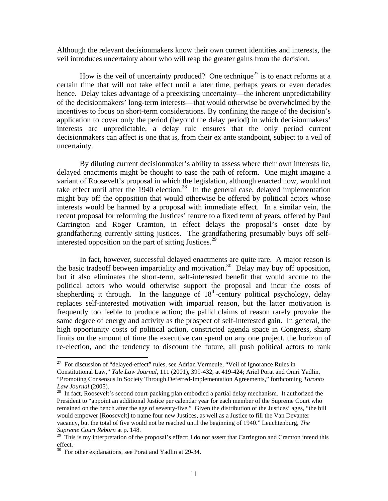Although the relevant decisionmakers know their own current identities and interests, the veil introduces uncertainty about who will reap the greater gains from the decision.

How is the veil of uncertainty produced? One technique<sup>27</sup> is to enact reforms at a certain time that will not take effect until a later time, perhaps years or even decades hence. Delay takes advantage of a preexisting uncertainty—the inherent unpredictability of the decisionmakers' long-term interests—that would otherwise be overwhelmed by the incentives to focus on short-term considerations. By confining the range of the decision's application to cover only the period (beyond the delay period) in which decisionmakers' interests are unpredictable, a delay rule ensures that the only period current decisionmakers can affect is one that is, from their ex ante standpoint, subject to a veil of uncertainty.

 By diluting current decisionmaker's ability to assess where their own interests lie, delayed enactments might be thought to ease the path of reform. One might imagine a variant of Roosevelt's proposal in which the legislation, although enacted now, would not take effect until after the 1940 election.<sup>28</sup> In the general case, delayed implementation might buy off the opposition that would otherwise be offered by political actors whose interests would be harmed by a proposal with immediate effect. In a similar vein, the recent proposal for reforming the Justices' tenure to a fixed term of years, offered by Paul Carrington and Roger Cramton, in effect delays the proposal's onset date by grandfathering currently sitting justices. The grandfathering presumably buys off selfinterested opposition on the part of sitting Justices. $29$ 

 In fact, however, successful delayed enactments are quite rare. A major reason is the basic tradeoff between impartiality and motivation.<sup>30</sup> Delay may buy off opposition, but it also eliminates the short-term, self-interested benefit that would accrue to the political actors who would otherwise support the proposal and incur the costs of shepherding it through. In the language of  $18<sup>th</sup>$ -century political psychology, delay replaces self-interested motivation with impartial reason, but the latter motivation is frequently too feeble to produce action; the pallid claims of reason rarely provoke the same degree of energy and activity as the prospect of self-interested gain. In general, the high opportunity costs of political action, constricted agenda space in Congress, sharp limits on the amount of time the executive can spend on any one project, the horizon of re-election, and the tendency to discount the future, all push political actors to rank

 $27$  For discussion of "delayed-effect" rules, see Adrian Vermeule, "Veil of Ignorance Rules in

Constitutional Law," *Yale Law Journal*, 111 (2001), 399-432, at 419-424; Ariel Porat and Omri Yadlin, "Promoting Consensus In Society Through Deferred-Implementation Agreements," forthcoming *Toronto* 

<sup>&</sup>lt;sup>28</sup> In fact, Roosevelt's second court-packing plan embodied a partial delay mechanism. It authorized the President to "appoint an additional Justice per calendar year for each member of the Supreme Court who remained on the bench after the age of seventy-five." Given the distribution of the Justices' ages, "the bill would empower [Roosevelt] to name four new Justices, as well as a Justice to fill the Van Devanter vacancy, but the total of five would not be reached until the beginning of 1940." Leuchtenburg, *The Supreme Court Reborn* at p. 148.

 $29$  This is my interpretation of the proposal's effect; I do not assert that Carrington and Cramton intend this effect.

<sup>&</sup>lt;sup>30</sup> For other explanations, see Porat and Yadlin at 29-34.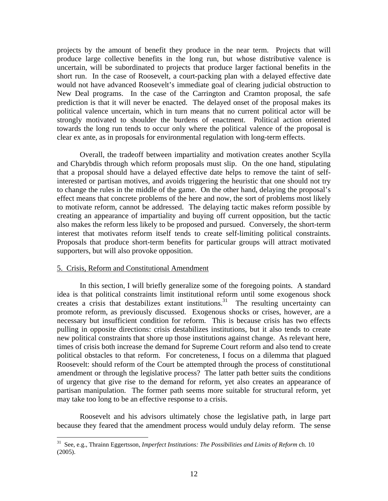projects by the amount of benefit they produce in the near term. Projects that will produce large collective benefits in the long run, but whose distributive valence is uncertain, will be subordinated to projects that produce larger factional benefits in the short run. In the case of Roosevelt, a court-packing plan with a delayed effective date would not have advanced Roosevelt's immediate goal of clearing judicial obstruction to New Deal programs. In the case of the Carrington and Cramton proposal, the safe prediction is that it will never be enacted. The delayed onset of the proposal makes its political valence uncertain, which in turn means that no current political actor will be strongly motivated to shoulder the burdens of enactment. Political action oriented towards the long run tends to occur only where the political valence of the proposal is clear ex ante, as in proposals for environmental regulation with long-term effects.

 Overall, the tradeoff between impartiality and motivation creates another Scylla and Charybdis through which reform proposals must slip. On the one hand, stipulating that a proposal should have a delayed effective date helps to remove the taint of selfinterested or partisan motives, and avoids triggering the heuristic that one should not try to change the rules in the middle of the game. On the other hand, delaying the proposal's effect means that concrete problems of the here and now, the sort of problems most likely to motivate reform, cannot be addressed. The delaying tactic makes reform possible by creating an appearance of impartiality and buying off current opposition, but the tactic also makes the reform less likely to be proposed and pursued. Conversely, the short-term interest that motivates reform itself tends to create self-limiting political constraints. Proposals that produce short-term benefits for particular groups will attract motivated supporters, but will also provoke opposition.

#### 5. Crisis, Reform and Constitutional Amendment

1

 In this section, I will briefly generalize some of the foregoing points. A standard idea is that political constraints limit institutional reform until some exogenous shock creates a crisis that destabilizes extant institutions.<sup>31</sup> The resulting uncertainty can promote reform, as previously discussed. Exogenous shocks or crises, however, are a necessary but insufficient condition for reform. This is because crisis has two effects pulling in opposite directions: crisis destabilizes institutions, but it also tends to create new political constraints that shore up those institutions against change. As relevant here, times of crisis both increase the demand for Supreme Court reform and also tend to create political obstacles to that reform. For concreteness, I focus on a dilemma that plagued Roosevelt: should reform of the Court be attempted through the process of constitutional amendment or through the legislative process? The latter path better suits the conditions of urgency that give rise to the demand for reform, yet also creates an appearance of partisan manipulation. The former path seems more suitable for structural reform, yet may take too long to be an effective response to a crisis.

 Roosevelt and his advisors ultimately chose the legislative path, in large part because they feared that the amendment process would unduly delay reform. The sense

<sup>31</sup> See, e.g., Thrainn Eggertsson, *Imperfect Institutions: The Possibilities and Limits of Reform* ch. 10 (2005).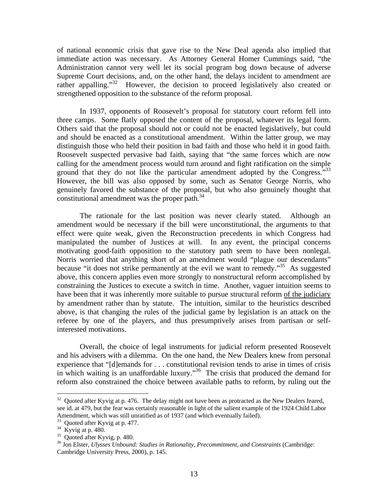of national economic crisis that gave rise to the New Deal agenda also implied that immediate action was necessary. As Attorney General Homer Cummings said, "the Administration cannot very well let its social program bog down because of adverse Supreme Court decisions, and, on the other hand, the delays incident to amendment are rather appalling."32 However, the decision to proceed legislatively also created or strengthened opposition to the substance of the reform proposal.

 In 1937, opponents of Roosevelt's proposal for statutory court reform fell into three camps. Some flatly opposed the content of the proposal, whatever its legal form. Others said that the proposal should not or could not be enacted legislatively, but could and should be enacted as a constitutional amendment. Within the latter group, we may distinguish those who held their position in bad faith and those who held it in good faith. Roosevelt suspected pervasive bad faith, saying that "the same forces which are now calling for the amendment process would turn around and fight ratification on the simple ground that they do not like the particular amendment adopted by the Congress."<sup>33</sup> However, the bill was also opposed by some, such as Senator George Norris, who genuinely favored the substance of the proposal, but who also genuinely thought that constitutional amendment was the proper path.<sup>34</sup>

 The rationale for the last position was never clearly stated. Although an amendment would be necessary if the bill were unconstitutional, the arguments to that effect were quite weak, given the Reconstruction precedents in which Congress had manipulated the number of Justices at will. In any event, the principal concerns motivating good-faith opposition to the statutory path seem to have been nonlegal. Norris worried that anything short of an amendment would "plague our descendants" because "it does not strike permanently at the evil we want to remedy."<sup>35</sup> As suggested above, this concern applies even more strongly to nonstructural reform accomplished by constraining the Justices to execute a switch in time. Another, vaguer intuition seems to have been that it was inherently more suitable to pursue structural reform of the judiciary by amendment rather than by statute. The intuition, similar to the heuristics described above, is that changing the rules of the judicial game by legislation is an attack on the referee by one of the players, and thus presumptively arises from partisan or selfinterested motivations.

 Overall, the choice of legal instruments for judicial reform presented Roosevelt and his advisers with a dilemma. On the one hand, the New Dealers knew from personal experience that "[d]emands for . . . constitutional revision tends to arise in times of crisis in which waiting is an unaffordable luxury. $^{36}$  The crisis that produced the demand for reform also constrained the choice between available paths to reform, by ruling out the

1

<sup>&</sup>lt;sup>32</sup> Quoted after Kyvig at p. 476. The delay might not have been as protracted as the New Dealers feared, see id. at 479, but the fear was certainly reasonable in light of the salient example of the 1924 Child Labor Amendment, which was still unratified as of 1937 (and which eventually failed).

<sup>33</sup> Quoted after Kyvig at p. 477.

 $34$  Kyvig at p. 480.

<sup>35</sup> Quoted after Kyvig, p. 480.

<sup>36</sup> Jon Elster, *Ulysses Unbound: Studies in Rationality, Precommitment, and Constraints* (Cambridge: Cambridge University Press, 2000), p. 145.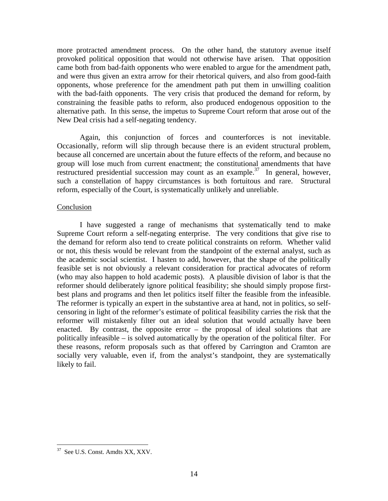more protracted amendment process. On the other hand, the statutory avenue itself provoked political opposition that would not otherwise have arisen. That opposition came both from bad-faith opponents who were enabled to argue for the amendment path, and were thus given an extra arrow for their rhetorical quivers, and also from good-faith opponents, whose preference for the amendment path put them in unwilling coalition with the bad-faith opponents. The very crisis that produced the demand for reform, by constraining the feasible paths to reform, also produced endogenous opposition to the alternative path. In this sense, the impetus to Supreme Court reform that arose out of the New Deal crisis had a self-negating tendency.

 Again, this conjunction of forces and counterforces is not inevitable. Occasionally, reform will slip through because there is an evident structural problem, because all concerned are uncertain about the future effects of the reform, and because no group will lose much from current enactment; the constitutional amendments that have restructured presidential succession may count as an example.<sup>37</sup> In general, however, such a constellation of happy circumstances is both fortuitous and rare. Structural reform, especially of the Court, is systematically unlikely and unreliable.

#### **Conclusion**

 I have suggested a range of mechanisms that systematically tend to make Supreme Court reform a self-negating enterprise. The very conditions that give rise to the demand for reform also tend to create political constraints on reform. Whether valid or not, this thesis would be relevant from the standpoint of the external analyst, such as the academic social scientist. I hasten to add, however, that the shape of the politically feasible set is not obviously a relevant consideration for practical advocates of reform (who may also happen to hold academic posts). A plausible division of labor is that the reformer should deliberately ignore political feasibility; she should simply propose firstbest plans and programs and then let politics itself filter the feasible from the infeasible. The reformer is typically an expert in the substantive area at hand, not in politics, so selfcensoring in light of the reformer's estimate of political feasibility carries the risk that the reformer will mistakenly filter out an ideal solution that would actually have been enacted. By contrast, the opposite error – the proposal of ideal solutions that are politically infeasible – is solved automatically by the operation of the political filter. For these reasons, reform proposals such as that offered by Carrington and Cramton are socially very valuable, even if, from the analyst's standpoint, they are systematically likely to fail.

<sup>37</sup> See U.S. Const. Amdts XX, XXV.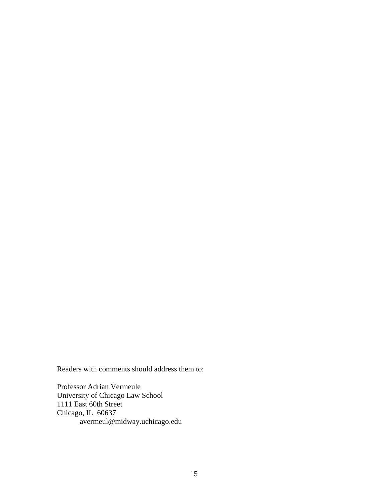Readers with comments should address them to:

Professor Adrian Vermeule University of Chicago Law School 1111 East 60th Street Chicago, IL 60637 avermeul@midway.uchicago.edu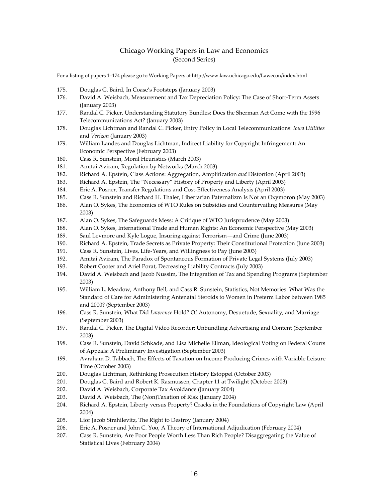#### Chicago Working Papers in Law and Economics (Second Series)

For a listing of papers 1–174 please go to Working Papers at http://www.law.uchicago.edu/Lawecon/index.html

- 175. Douglas G. Baird, In Coase's Footsteps (January 2003)
- 176. David A. Weisbach, Measurement and Tax Depreciation Policy: The Case of Short-Term Assets (January 2003)
- 177. Randal C. Picker, Understanding Statutory Bundles: Does the Sherman Act Come with the 1996 Telecommunications Act? (January 2003)
- 178. Douglas Lichtman and Randal C. Picker, Entry Policy in Local Telecommunications: *Iowa Utilities* and *Verizon* (January 2003)
- 179. William Landes and Douglas Lichtman, Indirect Liability for Copyright Infringement: An Economic Perspective (February 2003)
- 180. Cass R. Sunstein, Moral Heuristics (March 2003)
- 181. Amitai Aviram, Regulation by Networks (March 2003)
- 182. Richard A. Epstein, Class Actions: Aggregation, Amplification *and* Distortion (April 2003)
- 183. Richard A. Epstein, The "Necessary" History of Property and Liberty (April 2003)
- 184. Eric A. Posner, Transfer Regulations and Cost‐Effectiveness Analysis (April 2003)
- 185. Cass R. Sunstein and Richard H. Thaler, Libertarian Paternalizm Is Not an Oxymoron (May 2003)
- 186. Alan O. Sykes, The Economics of WTO Rules on Subsidies and Countervailing Measures (May 2003)
- 187. Alan O. Sykes, The Safeguards Mess: A Critique of WTO Jurisprudence (May 2003)
- 188. Alan O. Sykes, International Trade and Human Rights: An Economic Perspective (May 2003)
- 189. Saul Levmore and Kyle Logue, Insuring against Terrorism—and Crime (June 2003)
- 190. Richard A. Epstein, Trade Secrets as Private Property: Their Constitutional Protection (June 2003)
- 191. Cass R. Sunstein, Lives, Life-Years, and Willingness to Pay (June 2003)
- 192. Amitai Aviram, The Paradox of Spontaneous Formation of Private Legal Systems (July 2003)
- 193. Robert Cooter and Ariel Porat, Decreasing Liability Contracts (July 2003)
- 194. David A. Weisbach and Jacob Nussim, The Integration of Tax and Spending Programs (September 2003)
- 195. William L. Meadow, Anthony Bell, and Cass R. Sunstein, Statistics, Not Memories: What Was the Standard of Care for Administering Antenatal Steroids to Women in Preterm Labor between 1985 and 2000? (September 2003)
- 196. Cass R. Sunstein, What Did *Lawrence* Hold? Of Autonomy, Desuetude, Sexuality, and Marriage (September 2003)
- 197. Randal C. Picker, The Digital Video Recorder: Unbundling Advertising and Content (September 2003)
- 198. Cass R. Sunstein, David Schkade, and Lisa Michelle Ellman, Ideological Voting on Federal Courts of Appeals: A Preliminary Investigation (September 2003)
- 199. Avraham D. Tabbach, The Effects of Taxation on Income Producing Crimes with Variable Leisure Time (October 2003)
- 200. Douglas Lichtman, Rethinking Prosecution History Estoppel (October 2003)
- 201. Douglas G. Baird and Robert K. Rasmussen, Chapter 11 at Twilight (October 2003)
- 202. David A. Weisbach, Corporate Tax Avoidance (January 2004)
- 203. David A. Weisbach, The (Non)Taxation of Risk (January 2004)
- 204. Richard A. Epstein, Liberty versus Property? Cracks in the Foundations of Copyright Law (April 2004)
- 205. Lior Jacob Strahilevitz, The Right to Destroy (January 2004)
- 206. Eric A. Posner and John C. Yoo, A Theory of International Adjudication (February 2004)
- 207. Cass R. Sunstein, Are Poor People Worth Less Than Rich People? Disaggregating the Value of Statistical Lives (February 2004)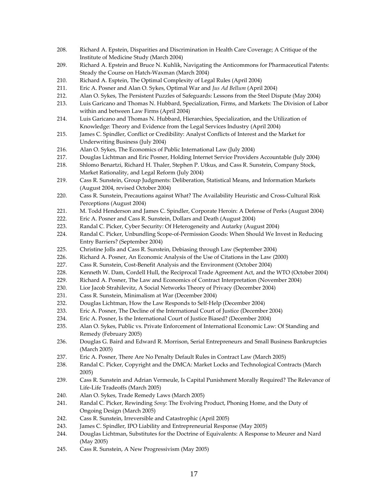- 208. Richard A. Epstein, Disparities and Discrimination in Health Care Coverage; A Critique of the Institute of Medicine Study (March 2004)
- 209. Richard A. Epstein and Bruce N. Kuhlik, Navigating the Anticommons for Pharmaceutical Patents: Steady the Course on Hatch‐Waxman (March 2004)
- 210. Richard A. Esptein, The Optimal Complexity of Legal Rules (April 2004)
- 211. Eric A. Posner and Alan O. Sykes, Optimal War and *Jus Ad Bellum* (April 2004)
- 212. Alan O. Sykes, The Persistent Puzzles of Safeguards: Lessons from the Steel Dispute (May 2004)
- 213. Luis Garicano and Thomas N. Hubbard, Specialization, Firms, and Markets: The Division of Labor within and between Law Firms (April 2004)
- 214. Luis Garicano and Thomas N. Hubbard, Hierarchies, Specialization, and the Utilization of Knowledge: Theory and Evidence from the Legal Services Industry (April 2004)
- 215. James C. Spindler, Conflict or Credibility: Analyst Conflicts of Interest and the Market for Underwriting Business (July 2004)
- 216. Alan O. Sykes, The Economics of Public International Law (July 2004)
- 217. Douglas Lichtman and Eric Posner, Holding Internet Service Providers Accountable (July 2004)
- 218. Shlomo Benartzi, Richard H. Thaler, Stephen P. Utkus, and Cass R. Sunstein, Company Stock, Market Rationality, and Legal Reform (July 2004)
- 219. Cass R. Sunstein, Group Judgments: Deliberation, Statistical Means, and Information Markets (August 2004, revised October 2004)
- 220. Cass R. Sunstein, Precautions against What? The Availability Heuristic and Cross-Cultural Risk Perceptions (August 2004)
- 221. M. Todd Henderson and James C. Spindler, Corporate Heroin: A Defense of Perks (August 2004)
- 222. Eric A. Posner and Cass R. Sunstein, Dollars and Death (August 2004)
- 223. Randal C. Picker, Cyber Security: Of Heterogeneity and Autarky (August 2004)
- 224. Randal C. Picker, Unbundling Scope-of-Permission Goods: When Should We Invest in Reducing Entry Barriers? (September 2004)
- 225. Christine Jolls and Cass R. Sunstein, Debiasing through Law (September 2004)
- 226. Richard A. Posner, An Economic Analysis of the Use of Citations in the Law (2000)
- 227. Cass R. Sunstein, Cost-Benefit Analysis and the Environment (October 2004)
- 228. Kenneth W. Dam, Cordell Hull, the Reciprocal Trade Agreement Act, and the WTO (October 2004)
- 229. Richard A. Posner, The Law and Economics of Contract Interpretation (November 2004)
- 230. Lior Jacob Strahilevitz, A Social Networks Theory of Privacy (December 2004)
- 231. Cass R. Sunstein, Minimalism at War (December 2004)
- 232. Douglas Lichtman, How the Law Responds to Self-Help (December 2004)
- 233. Eric A. Posner, The Decline of the International Court of Justice (December 2004)
- 234. Eric A. Posner, Is the International Court of Justice Biased? (December 2004)
- 235. Alan O. Sykes, Public vs. Private Enforcement of International Economic Law: Of Standing and Remedy (February 2005)
- 236. Douglas G. Baird and Edward R. Morrison, Serial Entrepreneurs and Small Business Bankruptcies (March 2005)
- 237. Eric A. Posner, There Are No Penalty Default Rules in Contract Law (March 2005)
- 238. Randal C. Picker, Copyright and the DMCA: Market Locks and Technological Contracts (March 2005)
- 239. Cass R. Sunstein and Adrian Vermeule, Is Capital Punishment Morally Required? The Relevance of Life‐Life Tradeoffs (March 2005)
- 240. Alan O. Sykes, Trade Remedy Laws (March 2005)
- 241. Randal C. Picker, Rewinding *Sony*: The Evolving Product, Phoning Home, and the Duty of Ongoing Design (March 2005)
- 242. Cass R. Sunstein, Irreversible and Catastrophic (April 2005)
- 243. James C. Spindler, IPO Liability and Entrepreneurial Response (May 2005)
- 244. Douglas Lichtman, Substitutes for the Doctrine of Equivalents: A Response to Meurer and Nard (May 2005)
- 245. Cass R. Sunstein, A New Progressivism (May 2005)